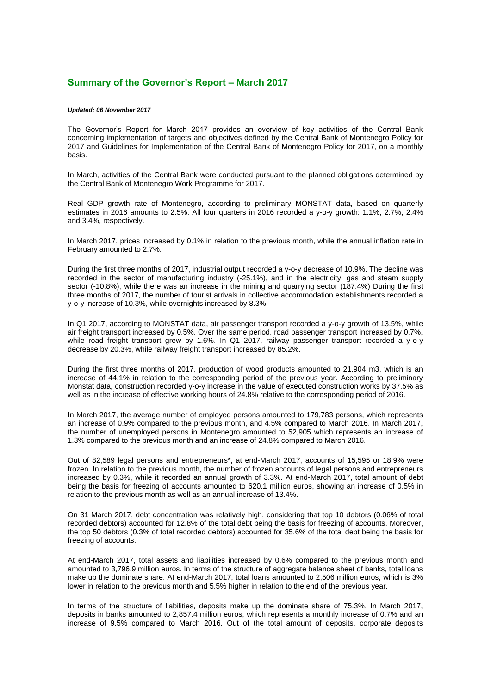## **Summary of the Governor's Report – March 2017**

## *Updated: 06 November 2017*

The Governor's Report for March 2017 provides an overview of key activities of the Central Bank concerning implementation of targets and objectives defined by the Central Bank of Montenegro Policy for 2017 and Guidelines for Implementation of the Central Bank of Montenegro Policy for 2017, on a monthly basis.

In March, activities of the Central Bank were conducted pursuant to the planned obligations determined by the Central Bank of Montenegro Work Programme for 2017.

Real GDP growth rate of Montenegro, according to preliminary MONSTAT data, based on quarterly estimates in 2016 amounts to 2.5%. All four quarters in 2016 recorded a y-o-y growth: 1.1%, 2.7%, 2.4% and 3.4%, respectively.

In March 2017, prices increased by 0.1% in relation to the previous month, while the annual inflation rate in February amounted to 2.7%.

During the first three months of 2017, industrial output recorded a y-o-y decrease of 10.9%. The decline was recorded in the sector of manufacturing industry (-25.1%), and in the electricity, gas and steam supply sector (-10.8%), while there was an increase in the mining and quarrying sector (187.4%) During the first three months of 2017, the number of tourist arrivals in collective accommodation establishments recorded a y-o-y increase of 10.3%, while overnights increased by 8.3%.

In Q1 2017, according to MONSTAT data, air passenger transport recorded a y-o-y growth of 13.5%, while air freight transport increased by 0.5%. Over the same period, road passenger transport increased by 0.7%, while road freight transport grew by 1.6%. In Q1 2017, railway passenger transport recorded a y-o-y decrease by 20.3%, while railway freight transport increased by 85.2%.

During the first three months of 2017, production of wood products amounted to 21,904 m3, which is an increase of 44.1% in relation to the corresponding period of the previous year. According to preliminary Monstat data, construction recorded y-o-y increase in the value of executed construction works by 37.5% as well as in the increase of effective working hours of 24.8% relative to the corresponding period of 2016.

In March 2017, the average number of employed persons amounted to 179,783 persons, which represents an increase of 0.9% compared to the previous month, and 4.5% compared to March 2016. In March 2017, the number of unemployed persons in Montenegro amounted to 52,905 which represents an increase of 1.3% compared to the previous month and an increase of 24.8% compared to March 2016.

Out of 82,589 legal persons and entrepreneurs**\***, at end-March 2017, accounts of 15,595 or 18.9% were frozen. In relation to the previous month, the number of frozen accounts of legal persons and entrepreneurs increased by 0.3%, while it recorded an annual growth of 3.3%. At end-March 2017, total amount of debt being the basis for freezing of accounts amounted to 620.1 million euros, showing an increase of 0.5% in relation to the previous month as well as an annual increase of 13.4%.

On 31 March 2017, debt concentration was relatively high, considering that top 10 debtors (0.06% of total recorded debtors) accounted for 12.8% of the total debt being the basis for freezing of accounts. Moreover, the top 50 debtors (0.3% of total recorded debtors) accounted for 35.6% of the total debt being the basis for freezing of accounts.

At end-March 2017, total assets and liabilities increased by 0.6% compared to the previous month and amounted to 3,796.9 million euros. In terms of the structure of aggregate balance sheet of banks, total loans make up the dominate share. At end-March 2017, total loans amounted to 2,506 million euros, which is 3% lower in relation to the previous month and 5.5% higher in relation to the end of the previous year.

In terms of the structure of liabilities, deposits make up the dominate share of 75.3%. In March 2017, deposits in banks amounted to 2,857.4 million euros, which represents a monthly increase of 0.7% and an increase of 9.5% compared to March 2016. Out of the total amount of deposits, corporate deposits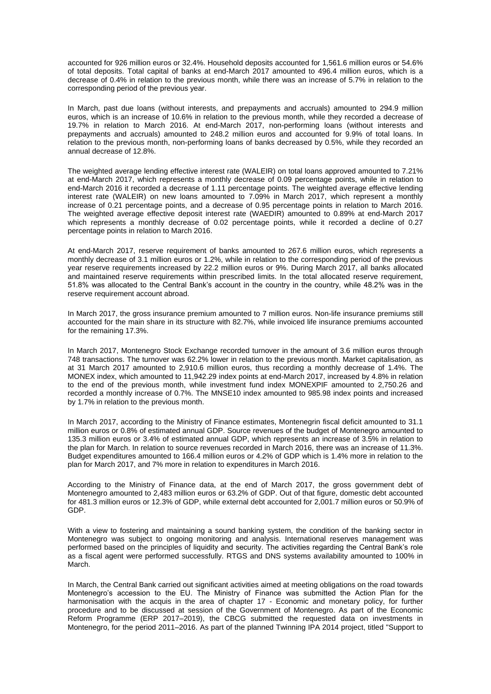accounted for 926 million euros or 32.4%. Household deposits accounted for 1,561.6 million euros or 54.6% of total deposits. Total capital of banks at end-March 2017 amounted to 496.4 million euros, which is a decrease of 0.4% in relation to the previous month, while there was an increase of 5.7% in relation to the corresponding period of the previous year.

In March, past due loans (without interests, and prepayments and accruals) amounted to 294.9 million euros, which is an increase of 10.6% in relation to the previous month, while they recorded a decrease of 19.7% in relation to March 2016. At end-March 2017, non-performing loans (without interests and prepayments and accruals) amounted to 248.2 million euros and accounted for 9.9% of total loans. In relation to the previous month, non-performing loans of banks decreased by 0.5%, while they recorded an annual decrease of 12.8%.

The weighted average lending effective interest rate (WALEIR) on total loans approved amounted to 7.21% at end-March 2017, which represents a monthly decrease of 0.09 percentage points, while in relation to end-March 2016 it recorded a decrease of 1.11 percentage points. The weighted average effective lending interest rate (WALEIR) on new loans amounted to 7.09% in March 2017, which represent a monthly increase of 0.21 percentage points, and a decrease of 0.95 percentage points in relation to March 2016. The weighted average effective deposit interest rate (WAEDIR) amounted to 0.89% at end-March 2017 which represents a monthly decrease of 0.02 percentage points, while it recorded a decline of 0.27 percentage points in relation to March 2016.

At end-March 2017, reserve requirement of banks amounted to 267.6 million euros, which represents a monthly decrease of 3.1 million euros or 1.2%, while in relation to the corresponding period of the previous year reserve requirements increased by 22.2 million euros or 9%. During March 2017, all banks allocated and maintained reserve requirements within prescribed limits. In the total allocated reserve requirement, 51.8% was allocated to the Central Bank's account in the country in the country, while 48.2% was in the reserve requirement account abroad.

In March 2017, the gross insurance premium amounted to 7 million euros. Non-life insurance premiums still accounted for the main share in its structure with 82.7%, while invoiced life insurance premiums accounted for the remaining 17.3%.

In March 2017, Montenegro Stock Exchange recorded turnover in the amount of 3.6 million euros through 748 transactions. The turnover was 62.2% lower in relation to the previous month. Market capitalisation, as at 31 March 2017 amounted to 2,910.6 million euros, thus recording a monthly decrease of 1.4%. The MONEX index, which amounted to 11,942.29 index points at end-March 2017, increased by 4.8% in relation to the end of the previous month, while investment fund index MONEXPIF amounted to 2,750.26 and recorded a monthly increase of 0.7%. The MNSE10 index amounted to 985.98 index points and increased by 1.7% in relation to the previous month.

In March 2017, according to the Ministry of Finance estimates, Montenegrin fiscal deficit amounted to 31.1 million euros or 0.8% of estimated annual GDP. Source revenues of the budget of Montenegro amounted to 135.3 million euros or 3.4% of estimated annual GDP, which represents an increase of 3.5% in relation to the plan for March. In relation to source revenues recorded in March 2016, there was an increase of 11.3%. Budget expenditures amounted to 166.4 million euros or 4.2% of GDP which is 1.4% more in relation to the plan for March 2017, and 7% more in relation to expenditures in March 2016.

According to the Ministry of Finance data, at the end of March 2017, the gross government debt of Montenegro amounted to 2,483 million euros or 63.2% of GDP. Out of that figure, domestic debt accounted for 481.3 million euros or 12.3% of GDP, while external debt accounted for 2,001.7 million euros or 50.9% of GDP.

With a view to fostering and maintaining a sound banking system, the condition of the banking sector in Montenegro was subject to ongoing monitoring and analysis. International reserves management was performed based on the principles of liquidity and security. The activities regarding the Central Bank's role as a fiscal agent were performed successfully. RTGS and DNS systems availability amounted to 100% in March.

In March, the Central Bank carried out significant activities aimed at meeting obligations on the road towards Montenegro's accession to the EU. The Ministry of Finance was submitted the Action Plan for the harmonisation with the acquis in the area of chapter 17 - Economic and monetary policy, for further procedure and to be discussed at session of the Government of Montenegro. As part of the Economic Reform Programme (ERP 2017–2019), the CBCG submitted the requested data on investments in Montenegro, for the period 2011–2016. As part of the planned Twinning IPA 2014 project, titled "Support to